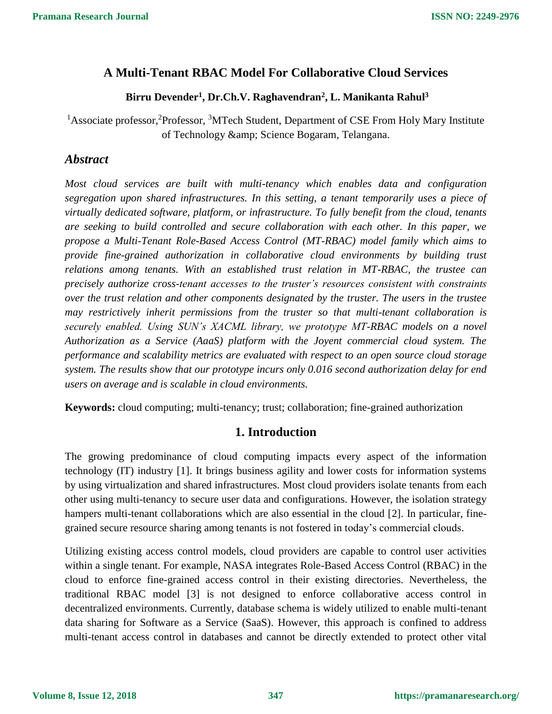## **A Multi-Tenant RBAC Model For Collaborative Cloud Services**

#### **Birru Devender<sup>1</sup> , Dr.Ch.V. Raghavendran<sup>2</sup> , L. Manikanta Rahul<sup>3</sup>**

<sup>1</sup>Associate professor,<sup>2</sup>Professor,<sup>3</sup>MTech Student, Department of CSE From Holy Mary Institute of Technology & amp; Science Bogaram, Telangana.

#### *Abstract*

*Most cloud services are built with multi-tenancy which enables data and configuration segregation upon shared infrastructures. In this setting, a tenant temporarily uses a piece of virtually dedicated software, platform, or infrastructure. To fully benefit from the cloud, tenants are seeking to build controlled and secure collaboration with each other. In this paper, we propose a Multi-Tenant Role-Based Access Control (MT-RBAC) model family which aims to provide fine-grained authorization in collaborative cloud environments by building trust relations among tenants. With an established trust relation in MT-RBAC, the trustee can precisely authorize cross-tenant accesses to the truster's resources consistent with constraints over the trust relation and other components designated by the truster. The users in the trustee may restrictively inherit permissions from the truster so that multi-tenant collaboration is securely enabled. Using SUN's XACML library, we prototype MT-RBAC models on a novel Authorization as a Service (AaaS) platform with the Joyent commercial cloud system. The performance and scalability metrics are evaluated with respect to an open source cloud storage system. The results show that our prototype incurs only 0.016 second authorization delay for end users on average and is scalable in cloud environments.*

**Keywords:** cloud computing; multi-tenancy; trust; collaboration; fine-grained authorization

### **1. Introduction**

The growing predominance of cloud computing impacts every aspect of the information technology (IT) industry [1]. It brings business agility and lower costs for information systems by using virtualization and shared infrastructures. Most cloud providers isolate tenants from each other using multi-tenancy to secure user data and configurations. However, the isolation strategy hampers multi-tenant collaborations which are also essential in the cloud [2]. In particular, finegrained secure resource sharing among tenants is not fostered in today's commercial clouds.

Utilizing existing access control models, cloud providers are capable to control user activities within a single tenant. For example, NASA integrates Role-Based Access Control (RBAC) in the cloud to enforce fine-grained access control in their existing directories. Nevertheless, the traditional RBAC model [3] is not designed to enforce collaborative access control in decentralized environments. Currently, database schema is widely utilized to enable multi-tenant data sharing for Software as a Service (SaaS). However, this approach is confined to address multi-tenant access control in databases and cannot be directly extended to protect other vital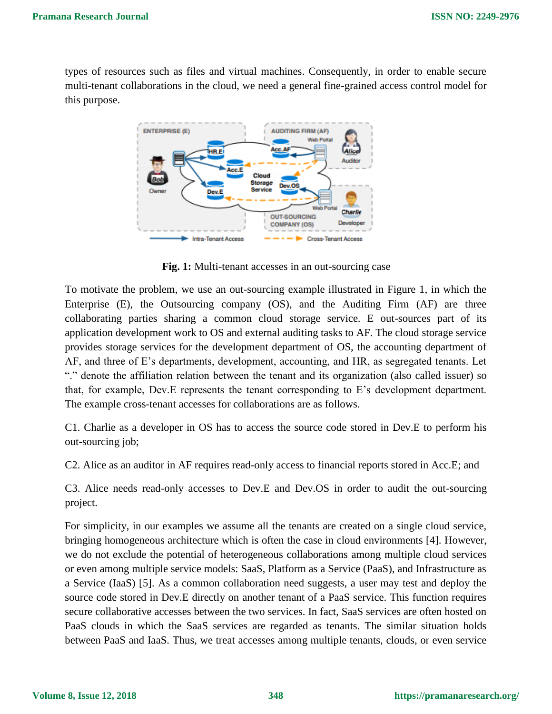types of resources such as files and virtual machines. Consequently, in order to enable secure multi-tenant collaborations in the cloud, we need a general fine-grained access control model for this purpose.



**Fig. 1:** Multi-tenant accesses in an out-sourcing case

To motivate the problem, we use an out-sourcing example illustrated in Figure 1, in which the Enterprise (E), the Outsourcing company (OS), and the Auditing Firm (AF) are three collaborating parties sharing a common cloud storage service. E out-sources part of its application development work to OS and external auditing tasks to AF. The cloud storage service provides storage services for the development department of OS, the accounting department of AF, and three of E's departments, development, accounting, and HR, as segregated tenants. Let "." denote the affiliation relation between the tenant and its organization (also called issuer) so that, for example, Dev.E represents the tenant corresponding to E's development department. The example cross-tenant accesses for collaborations are as follows.

C1. Charlie as a developer in OS has to access the source code stored in Dev.E to perform his out-sourcing job;

C2. Alice as an auditor in AF requires read-only access to financial reports stored in Acc.E; and

C3. Alice needs read-only accesses to Dev.E and Dev.OS in order to audit the out-sourcing project.

For simplicity, in our examples we assume all the tenants are created on a single cloud service, bringing homogeneous architecture which is often the case in cloud environments [4]. However, we do not exclude the potential of heterogeneous collaborations among multiple cloud services or even among multiple service models: SaaS, Platform as a Service (PaaS), and Infrastructure as a Service (IaaS) [5]. As a common collaboration need suggests, a user may test and deploy the source code stored in Dev.E directly on another tenant of a PaaS service. This function requires secure collaborative accesses between the two services. In fact, SaaS services are often hosted on PaaS clouds in which the SaaS services are regarded as tenants. The similar situation holds between PaaS and IaaS. Thus, we treat accesses among multiple tenants, clouds, or even service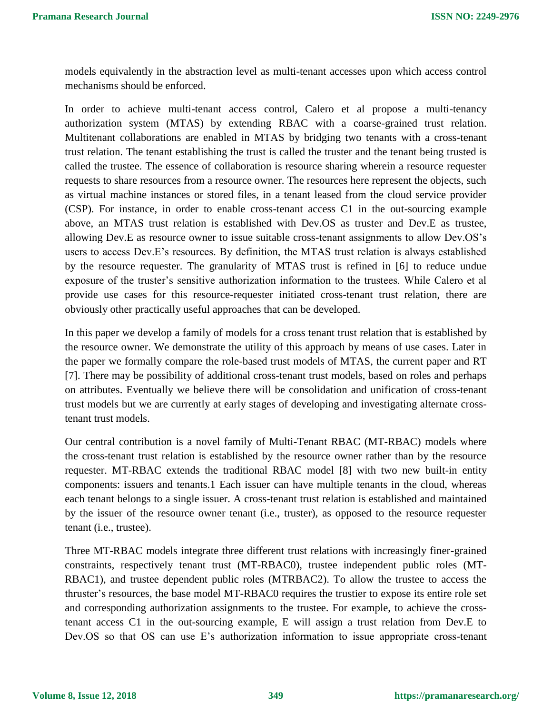models equivalently in the abstraction level as multi-tenant accesses upon which access control mechanisms should be enforced.

In order to achieve multi-tenant access control, Calero et al propose a multi-tenancy authorization system (MTAS) by extending RBAC with a coarse-grained trust relation. Multitenant collaborations are enabled in MTAS by bridging two tenants with a cross-tenant trust relation. The tenant establishing the trust is called the truster and the tenant being trusted is called the trustee. The essence of collaboration is resource sharing wherein a resource requester requests to share resources from a resource owner. The resources here represent the objects, such as virtual machine instances or stored files, in a tenant leased from the cloud service provider (CSP). For instance, in order to enable cross-tenant access C1 in the out-sourcing example above, an MTAS trust relation is established with Dev.OS as truster and Dev.E as trustee, allowing Dev.E as resource owner to issue suitable cross-tenant assignments to allow Dev.OS's users to access Dev.E's resources. By definition, the MTAS trust relation is always established by the resource requester. The granularity of MTAS trust is refined in [6] to reduce undue exposure of the truster's sensitive authorization information to the trustees. While Calero et al provide use cases for this resource-requester initiated cross-tenant trust relation, there are obviously other practically useful approaches that can be developed.

In this paper we develop a family of models for a cross tenant trust relation that is established by the resource owner. We demonstrate the utility of this approach by means of use cases. Later in the paper we formally compare the role-based trust models of MTAS, the current paper and RT [7]. There may be possibility of additional cross-tenant trust models, based on roles and perhaps on attributes. Eventually we believe there will be consolidation and unification of cross-tenant trust models but we are currently at early stages of developing and investigating alternate crosstenant trust models.

Our central contribution is a novel family of Multi-Tenant RBAC (MT-RBAC) models where the cross-tenant trust relation is established by the resource owner rather than by the resource requester. MT-RBAC extends the traditional RBAC model [8] with two new built-in entity components: issuers and tenants.1 Each issuer can have multiple tenants in the cloud, whereas each tenant belongs to a single issuer. A cross-tenant trust relation is established and maintained by the issuer of the resource owner tenant (i.e., truster), as opposed to the resource requester tenant (i.e., trustee).

Three MT-RBAC models integrate three different trust relations with increasingly finer-grained constraints, respectively tenant trust (MT-RBAC0), trustee independent public roles (MT-RBAC1), and trustee dependent public roles (MTRBAC2). To allow the trustee to access the thruster's resources, the base model MT-RBAC0 requires the trustier to expose its entire role set and corresponding authorization assignments to the trustee. For example, to achieve the crosstenant access C1 in the out-sourcing example, E will assign a trust relation from Dev.E to Dev.OS so that OS can use E's authorization information to issue appropriate cross-tenant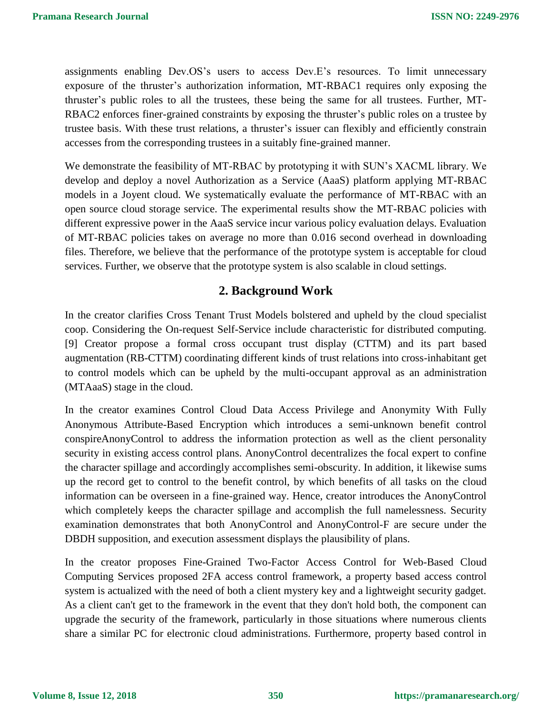assignments enabling Dev.OS's users to access Dev.E's resources. To limit unnecessary exposure of the thruster's authorization information, MT-RBAC1 requires only exposing the thruster's public roles to all the trustees, these being the same for all trustees. Further, MT-RBAC2 enforces finer-grained constraints by exposing the thruster's public roles on a trustee by trustee basis. With these trust relations, a thruster's issuer can flexibly and efficiently constrain accesses from the corresponding trustees in a suitably fine-grained manner.

We demonstrate the feasibility of MT-RBAC by prototyping it with SUN's XACML library. We develop and deploy a novel Authorization as a Service (AaaS) platform applying MT-RBAC models in a Joyent cloud. We systematically evaluate the performance of MT-RBAC with an open source cloud storage service. The experimental results show the MT-RBAC policies with different expressive power in the AaaS service incur various policy evaluation delays. Evaluation of MT-RBAC policies takes on average no more than 0.016 second overhead in downloading files. Therefore, we believe that the performance of the prototype system is acceptable for cloud services. Further, we observe that the prototype system is also scalable in cloud settings.

### **2. Background Work**

In the creator clarifies Cross Tenant Trust Models bolstered and upheld by the cloud specialist coop. Considering the On-request Self-Service include characteristic for distributed computing. [9] Creator propose a formal cross occupant trust display (CTTM) and its part based augmentation (RB-CTTM) coordinating different kinds of trust relations into cross-inhabitant get to control models which can be upheld by the multi-occupant approval as an administration (MTAaaS) stage in the cloud.

In the creator examines Control Cloud Data Access Privilege and Anonymity With Fully Anonymous Attribute-Based Encryption which introduces a semi-unknown benefit control conspireAnonyControl to address the information protection as well as the client personality security in existing access control plans. AnonyControl decentralizes the focal expert to confine the character spillage and accordingly accomplishes semi-obscurity. In addition, it likewise sums up the record get to control to the benefit control, by which benefits of all tasks on the cloud information can be overseen in a fine-grained way. Hence, creator introduces the AnonyControl which completely keeps the character spillage and accomplish the full namelessness. Security examination demonstrates that both AnonyControl and AnonyControl-F are secure under the DBDH supposition, and execution assessment displays the plausibility of plans.

In the creator proposes Fine-Grained Two-Factor Access Control for Web-Based Cloud Computing Services proposed 2FA access control framework, a property based access control system is actualized with the need of both a client mystery key and a lightweight security gadget. As a client can't get to the framework in the event that they don't hold both, the component can upgrade the security of the framework, particularly in those situations where numerous clients share a similar PC for electronic cloud administrations. Furthermore, property based control in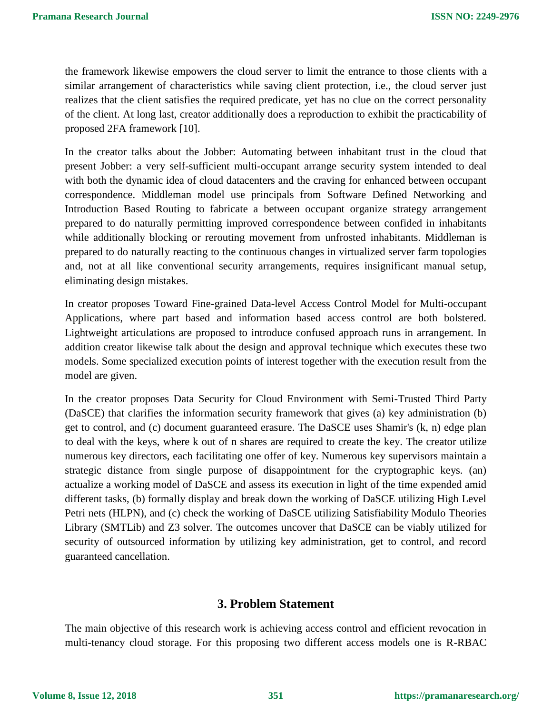the framework likewise empowers the cloud server to limit the entrance to those clients with a similar arrangement of characteristics while saving client protection, i.e., the cloud server just realizes that the client satisfies the required predicate, yet has no clue on the correct personality of the client. At long last, creator additionally does a reproduction to exhibit the practicability of proposed 2FA framework [10].

In the creator talks about the Jobber: Automating between inhabitant trust in the cloud that present Jobber: a very self-sufficient multi-occupant arrange security system intended to deal with both the dynamic idea of cloud datacenters and the craving for enhanced between occupant correspondence. Middleman model use principals from Software Defined Networking and Introduction Based Routing to fabricate a between occupant organize strategy arrangement prepared to do naturally permitting improved correspondence between confided in inhabitants while additionally blocking or rerouting movement from unfrosted inhabitants. Middleman is prepared to do naturally reacting to the continuous changes in virtualized server farm topologies and, not at all like conventional security arrangements, requires insignificant manual setup, eliminating design mistakes.

In creator proposes Toward Fine-grained Data-level Access Control Model for Multi-occupant Applications, where part based and information based access control are both bolstered. Lightweight articulations are proposed to introduce confused approach runs in arrangement. In addition creator likewise talk about the design and approval technique which executes these two models. Some specialized execution points of interest together with the execution result from the model are given.

In the creator proposes Data Security for Cloud Environment with Semi-Trusted Third Party (DaSCE) that clarifies the information security framework that gives (a) key administration (b) get to control, and (c) document guaranteed erasure. The DaSCE uses Shamir's (k, n) edge plan to deal with the keys, where k out of n shares are required to create the key. The creator utilize numerous key directors, each facilitating one offer of key. Numerous key supervisors maintain a strategic distance from single purpose of disappointment for the cryptographic keys. (an) actualize a working model of DaSCE and assess its execution in light of the time expended amid different tasks, (b) formally display and break down the working of DaSCE utilizing High Level Petri nets (HLPN), and (c) check the working of DaSCE utilizing Satisfiability Modulo Theories Library (SMTLib) and Z3 solver. The outcomes uncover that DaSCE can be viably utilized for security of outsourced information by utilizing key administration, get to control, and record guaranteed cancellation.

#### **3. Problem Statement**

The main objective of this research work is achieving access control and efficient revocation in multi-tenancy cloud storage. For this proposing two different access models one is R-RBAC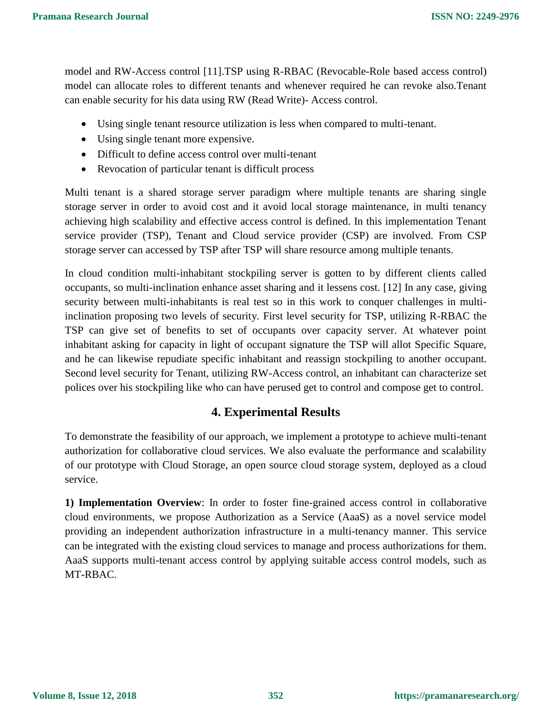model and RW-Access control [11].TSP using R-RBAC (Revocable-Role based access control) model can allocate roles to different tenants and whenever required he can revoke also.Tenant can enable security for his data using RW (Read Write)- Access control.

- Using single tenant resource utilization is less when compared to multi-tenant.
- Using single tenant more expensive.
- Difficult to define access control over multi-tenant
- Revocation of particular tenant is difficult process

Multi tenant is a shared storage server paradigm where multiple tenants are sharing single storage server in order to avoid cost and it avoid local storage maintenance, in multi tenancy achieving high scalability and effective access control is defined. In this implementation Tenant service provider (TSP), Tenant and Cloud service provider (CSP) are involved. From CSP storage server can accessed by TSP after TSP will share resource among multiple tenants.

In cloud condition multi-inhabitant stockpiling server is gotten to by different clients called occupants, so multi-inclination enhance asset sharing and it lessens cost. [12] In any case, giving security between multi-inhabitants is real test so in this work to conquer challenges in multiinclination proposing two levels of security. First level security for TSP, utilizing R-RBAC the TSP can give set of benefits to set of occupants over capacity server. At whatever point inhabitant asking for capacity in light of occupant signature the TSP will allot Specific Square, and he can likewise repudiate specific inhabitant and reassign stockpiling to another occupant. Second level security for Tenant, utilizing RW-Access control, an inhabitant can characterize set polices over his stockpiling like who can have perused get to control and compose get to control.

# **4. Experimental Results**

To demonstrate the feasibility of our approach, we implement a prototype to achieve multi-tenant authorization for collaborative cloud services. We also evaluate the performance and scalability of our prototype with Cloud Storage, an open source cloud storage system, deployed as a cloud service.

**1) Implementation Overview**: In order to foster fine-grained access control in collaborative cloud environments, we propose Authorization as a Service (AaaS) as a novel service model providing an independent authorization infrastructure in a multi-tenancy manner. This service can be integrated with the existing cloud services to manage and process authorizations for them. AaaS supports multi-tenant access control by applying suitable access control models, such as MT-RBAC.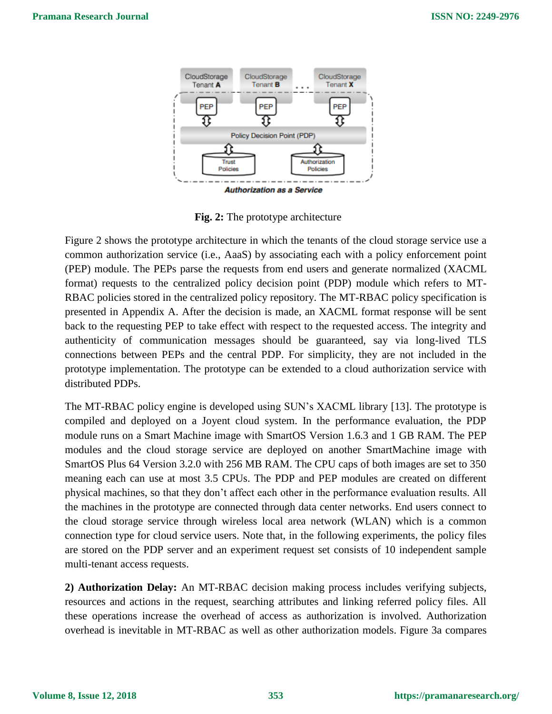

**Fig. 2:** The prototype architecture

Figure 2 shows the prototype architecture in which the tenants of the cloud storage service use a common authorization service (i.e., AaaS) by associating each with a policy enforcement point (PEP) module. The PEPs parse the requests from end users and generate normalized (XACML format) requests to the centralized policy decision point (PDP) module which refers to MT-RBAC policies stored in the centralized policy repository. The MT-RBAC policy specification is presented in Appendix A. After the decision is made, an XACML format response will be sent back to the requesting PEP to take effect with respect to the requested access. The integrity and authenticity of communication messages should be guaranteed, say via long-lived TLS connections between PEPs and the central PDP. For simplicity, they are not included in the prototype implementation. The prototype can be extended to a cloud authorization service with distributed PDPs.

The MT-RBAC policy engine is developed using SUN's XACML library [13]. The prototype is compiled and deployed on a Joyent cloud system. In the performance evaluation, the PDP module runs on a Smart Machine image with SmartOS Version 1.6.3 and 1 GB RAM. The PEP modules and the cloud storage service are deployed on another SmartMachine image with SmartOS Plus 64 Version 3.2.0 with 256 MB RAM. The CPU caps of both images are set to 350 meaning each can use at most 3.5 CPUs. The PDP and PEP modules are created on different physical machines, so that they don't affect each other in the performance evaluation results. All the machines in the prototype are connected through data center networks. End users connect to the cloud storage service through wireless local area network (WLAN) which is a common connection type for cloud service users. Note that, in the following experiments, the policy files are stored on the PDP server and an experiment request set consists of 10 independent sample multi-tenant access requests.

**2) Authorization Delay:** An MT-RBAC decision making process includes verifying subjects, resources and actions in the request, searching attributes and linking referred policy files. All these operations increase the overhead of access as authorization is involved. Authorization overhead is inevitable in MT-RBAC as well as other authorization models. Figure 3a compares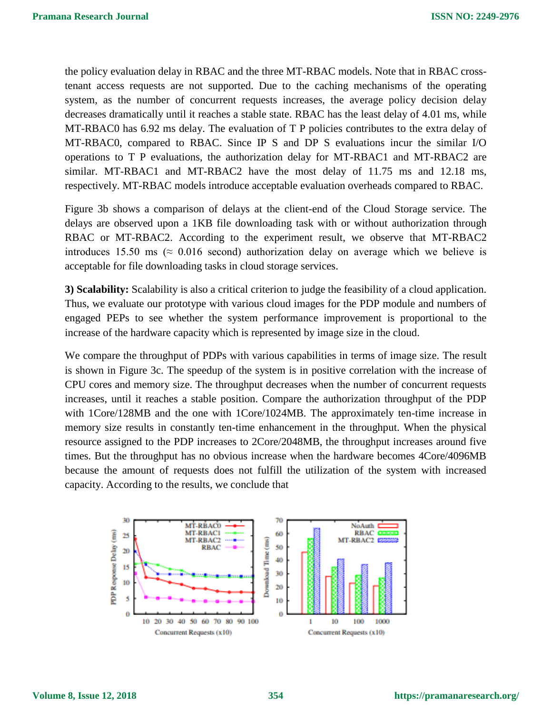the policy evaluation delay in RBAC and the three MT-RBAC models. Note that in RBAC crosstenant access requests are not supported. Due to the caching mechanisms of the operating system, as the number of concurrent requests increases, the average policy decision delay decreases dramatically until it reaches a stable state. RBAC has the least delay of 4.01 ms, while MT-RBAC0 has 6.92 ms delay. The evaluation of T P policies contributes to the extra delay of MT-RBAC0, compared to RBAC. Since IP S and DP S evaluations incur the similar I/O operations to T P evaluations, the authorization delay for MT-RBAC1 and MT-RBAC2 are similar. MT-RBAC1 and MT-RBAC2 have the most delay of 11.75 ms and 12.18 ms, respectively. MT-RBAC models introduce acceptable evaluation overheads compared to RBAC.

Figure 3b shows a comparison of delays at the client-end of the Cloud Storage service. The delays are observed upon a 1KB file downloading task with or without authorization through RBAC or MT-RBAC2. According to the experiment result, we observe that MT-RBAC2 introduces 15.50 ms ( $\approx 0.016$  second) authorization delay on average which we believe is acceptable for file downloading tasks in cloud storage services.

**3) Scalability:** Scalability is also a critical criterion to judge the feasibility of a cloud application. Thus, we evaluate our prototype with various cloud images for the PDP module and numbers of engaged PEPs to see whether the system performance improvement is proportional to the increase of the hardware capacity which is represented by image size in the cloud.

We compare the throughput of PDPs with various capabilities in terms of image size. The result is shown in Figure 3c. The speedup of the system is in positive correlation with the increase of CPU cores and memory size. The throughput decreases when the number of concurrent requests increases, until it reaches a stable position. Compare the authorization throughput of the PDP with 1Core/128MB and the one with 1Core/1024MB. The approximately ten-time increase in memory size results in constantly ten-time enhancement in the throughput. When the physical resource assigned to the PDP increases to 2Core/2048MB, the throughput increases around five times. But the throughput has no obvious increase when the hardware becomes 4Core/4096MB because the amount of requests does not fulfill the utilization of the system with increased capacity. According to the results, we conclude that

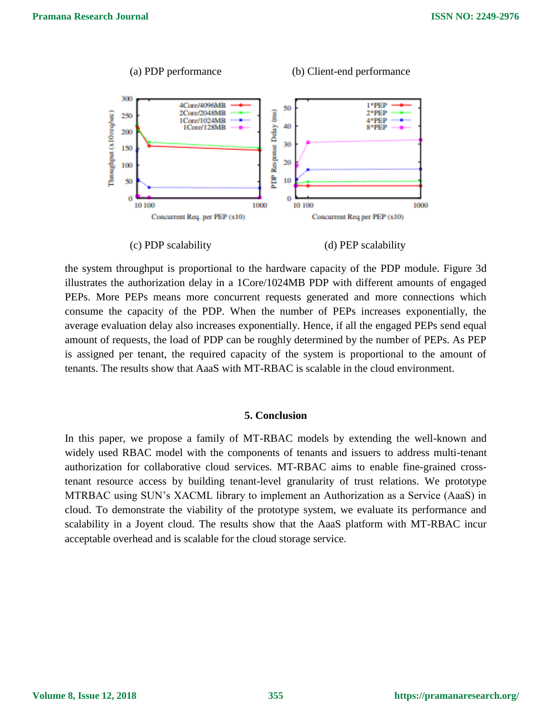

the system throughput is proportional to the hardware capacity of the PDP module. Figure 3d illustrates the authorization delay in a 1Core/1024MB PDP with different amounts of engaged PEPs. More PEPs means more concurrent requests generated and more connections which consume the capacity of the PDP. When the number of PEPs increases exponentially, the average evaluation delay also increases exponentially. Hence, if all the engaged PEPs send equal amount of requests, the load of PDP can be roughly determined by the number of PEPs. As PEP is assigned per tenant, the required capacity of the system is proportional to the amount of tenants. The results show that AaaS with MT-RBAC is scalable in the cloud environment.

#### **5. Conclusion**

In this paper, we propose a family of MT-RBAC models by extending the well-known and widely used RBAC model with the components of tenants and issuers to address multi-tenant authorization for collaborative cloud services. MT-RBAC aims to enable fine-grained crosstenant resource access by building tenant-level granularity of trust relations. We prototype MTRBAC using SUN's XACML library to implement an Authorization as a Service (AaaS) in cloud. To demonstrate the viability of the prototype system, we evaluate its performance and scalability in a Joyent cloud. The results show that the AaaS platform with MT-RBAC incur acceptable overhead and is scalable for the cloud storage service.